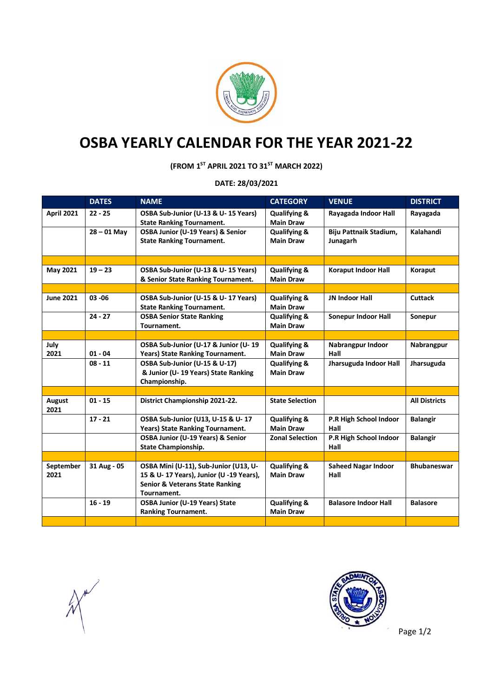

## **OSBA YEARLY CALENDAR FOR THE YEAR 2021-22**

**(FROM 1ST APRIL 2021 TO 31ST MARCH 2022)**

**DATE: 28/03/2021**

|                   | <b>DATES</b>  | <b>NAME</b>                                | <b>CATEGORY</b>         | <b>VENUE</b>                | <b>DISTRICT</b>      |
|-------------------|---------------|--------------------------------------------|-------------------------|-----------------------------|----------------------|
| <b>April 2021</b> | $22 - 25$     | OSBA Sub-Junior (U-13 & U-15 Years)        | <b>Qualifying &amp;</b> | Rayagada Indoor Hall        | Rayagada             |
|                   |               | <b>State Ranking Tournament.</b>           | <b>Main Draw</b>        |                             |                      |
|                   | $28 - 01$ May | OSBA Junior (U-19 Years) & Senior          | <b>Qualifying &amp;</b> | Biju Pattnaik Stadium,      | Kalahandi            |
|                   |               | <b>State Ranking Tournament.</b>           | <b>Main Draw</b>        | Junagarh                    |                      |
|                   |               |                                            |                         |                             |                      |
|                   |               |                                            |                         |                             |                      |
| May 2021          | $19 - 23$     | OSBA Sub-Junior (U-13 & U-15 Years)        | <b>Qualifying &amp;</b> | <b>Koraput Indoor Hall</b>  | Koraput              |
|                   |               | & Senior State Ranking Tournament.         | <b>Main Draw</b>        |                             |                      |
|                   |               |                                            |                         |                             |                      |
| <b>June 2021</b>  | $03 - 06$     | OSBA Sub-Junior (U-15 & U-17 Years)        | <b>Qualifying &amp;</b> | <b>JN Indoor Hall</b>       | <b>Cuttack</b>       |
|                   |               | <b>State Ranking Tournament.</b>           | <b>Main Draw</b>        |                             |                      |
|                   | $24 - 27$     | <b>OSBA Senior State Ranking</b>           | <b>Qualifying &amp;</b> | <b>Sonepur Indoor Hall</b>  | Sonepur              |
|                   |               | Tournament.                                | <b>Main Draw</b>        |                             |                      |
|                   |               |                                            |                         |                             |                      |
| July              |               | OSBA Sub-Junior (U-17 & Junior (U-19       | <b>Qualifying &amp;</b> | Nabrangpur Indoor           | Nabrangpur           |
| 2021              | $01 - 04$     | Years) State Ranking Tournament.           | <b>Main Draw</b>        | Hall                        |                      |
|                   | $08 - 11$     | OSBA Sub-Junior (U-15 & U-17)              | <b>Qualifying &amp;</b> | Jharsuguda Indoor Hall      | Jharsuguda           |
|                   |               | & Junior (U-19 Years) State Ranking        | <b>Main Draw</b>        |                             |                      |
|                   |               | Championship.                              |                         |                             |                      |
|                   |               |                                            |                         |                             |                      |
| August<br>2021    | $01 - 15$     | District Championship 2021-22.             | <b>State Selection</b>  |                             | <b>All Districts</b> |
|                   | $17 - 21$     | OSBA Sub-Junior (U13, U-15 & U-17          | <b>Qualifying &amp;</b> | P.R High School Indoor      | <b>Balangir</b>      |
|                   |               | Years) State Ranking Tournament.           | <b>Main Draw</b>        | Hall                        |                      |
|                   |               | OSBA Junior (U-19 Years) & Senior          | <b>Zonal Selection</b>  | P.R High School Indoor      | <b>Balangir</b>      |
|                   |               | <b>State Championship.</b>                 |                         | Hall                        |                      |
|                   |               |                                            |                         |                             |                      |
| September         | 31 Aug - 05   | OSBA Mini (U-11), Sub-Junior (U13, U-      | <b>Qualifying &amp;</b> | <b>Saheed Nagar Indoor</b>  | <b>Bhubaneswar</b>   |
| 2021              |               | 15 & U- 17 Years), Junior (U -19 Years),   | <b>Main Draw</b>        | Hall                        |                      |
|                   |               | <b>Senior &amp; Veterans State Ranking</b> |                         |                             |                      |
|                   |               | Tournament.                                |                         |                             |                      |
|                   | $16 - 19$     | <b>OSBA Junior (U-19 Years) State</b>      | <b>Qualifying &amp;</b> | <b>Balasore Indoor Hall</b> | <b>Balasore</b>      |
|                   |               | <b>Ranking Tournament.</b>                 | <b>Main Draw</b>        |                             |                      |
|                   |               |                                            |                         |                             |                      |